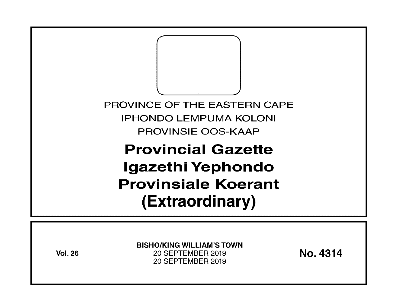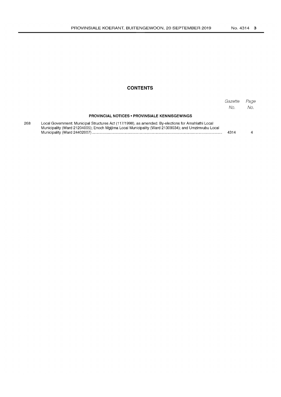### **CONTENTS**

|     |                                                                                                                                                                                                            | Gazette<br>No. | Page<br>No. |
|-----|------------------------------------------------------------------------------------------------------------------------------------------------------------------------------------------------------------|----------------|-------------|
|     | <b>PROVINCIAL NOTICES • PROVINSIALE KENNISGEWINGS</b>                                                                                                                                                      |                |             |
| 268 | Local Government: Municipal Structures Act (117/1998), as amended: By-elections for Amahlathi Local<br>Municipality (Ward 21204005); Enoch Mgijima Local Municipality (Ward 21309034); and Umzimyubu Local | 4314           |             |